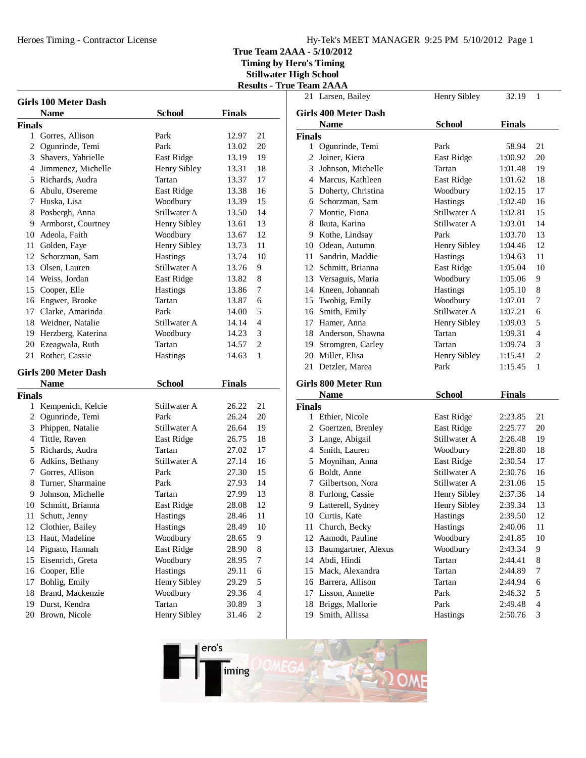# Hy-Tek's MEET MANAGER 9:25 PM 5/10/2012 Page 1

**True Team 2AAA - 5/10/2012**

**Timing by Hero's Timing**

**Stillwater High School Results - True Team 2AAA**

| <b>Girls 100 Meter Dash</b> |                             |                   |               |                          |
|-----------------------------|-----------------------------|-------------------|---------------|--------------------------|
|                             | <b>Name</b>                 | <b>School</b>     | <b>Finals</b> |                          |
| <b>Finals</b>               |                             |                   |               |                          |
|                             | 1 Gorres, Allison           | Park              | 12.97         | 21                       |
|                             | 2 Ogunrinde, Temi           | Park              | 13.02         | 20                       |
|                             | 3 Shavers, Yahrielle        | East Ridge        | 13.19         | 19                       |
|                             | 4 Jimmenez, Michelle        | Henry Sibley      | 13.31         | 18                       |
|                             | 5 Richards, Audra           | Tartan            | 13.37         | 17                       |
|                             | 6 Abulu, Osereme            | East Ridge        | 13.38         | 16                       |
|                             | 7 Huska, Lisa               | Woodbury          | 13.39         | 15                       |
|                             | 8 Posbergh, Anna            | Stillwater A      | 13.50         | 14                       |
|                             | 9 Armborst, Courtney        | Henry Sibley      | 13.61         | 13                       |
|                             | 10 Adeola, Faith            | Woodbury          | 13.67         | 12                       |
|                             | 11 Golden, Faye             | Henry Sibley      | 13.73         | 11                       |
|                             | 12 Schorzman, Sam           | Hastings          | 13.74         | 10                       |
|                             | 13 Olsen, Lauren            | Stillwater A      | 13.76         | 9                        |
|                             | 14 Weiss, Jordan            | East Ridge        | 13.82         | 8                        |
|                             | 15 Cooper, Elle             | Hastings          | 13.86         | 7                        |
|                             | 16 Engwer, Brooke           | Tartan            | 13.87         | 6                        |
|                             | 17 Clarke, Amarinda         | Park              | 14.00         | 5                        |
|                             | 18 Weidner, Natalie         | Stillwater A      | 14.14         | $\overline{4}$           |
|                             | 19 Herzberg, Katerina       | Woodbury          | 14.23         | 3                        |
|                             | 20 Ezeagwala, Ruth          | Tartan            | 14.57         | 2                        |
|                             | 21 Rother, Cassie           | Hastings          | 14.63         | 1                        |
|                             | <b>Girls 200 Meter Dash</b> |                   |               |                          |
|                             | <b>Name</b>                 | <b>School</b>     | <b>Finals</b> |                          |
| <b>Finals</b>               |                             |                   |               |                          |
|                             | 1 Kempenich, Kelcie         | Stillwater A      | 26.22         | 21                       |
|                             | 2 Ogunrinde, Temi           | Park              | 26.24         | 20                       |
|                             | 3 Phippen, Natalie          | Stillwater A      | 26.64         | 19                       |
|                             | 4 Tittle, Raven             | <b>East Ridge</b> | 26.75         | 18                       |
|                             | 5 Richards, Audra           | Tartan            | 27.02         | 17                       |
|                             | 6 Adkins, Bethany           | Stillwater A      | 27.14         | 16                       |
|                             | 7 Gorres, Allison           | Park              | 27.30         | 15                       |
|                             | 8 Turner, Sharmaine         | Park              | 27.93         | 14                       |
|                             | 9 Johnson, Michelle         | Tartan            | 27.99         | 13                       |
|                             | 10 Schmitt, Brianna         | East Ridge        | 28.08         | 12                       |
| 11                          | Schutt, Jenny               | <b>Hastings</b>   | 28.46         | 11                       |
| 12                          | Clothier, Bailey            | Hastings          | 28.49         | 10                       |
| 13                          | Haut, Madeline              | Woodbury          | 28.65         | 9                        |
| 14                          | Pignato, Hannah             | East Ridge        | 28.90         | 8                        |
| 15                          | Eisenrich, Greta            | Woodbury          | 28.95         | $\boldsymbol{7}$         |
| 16                          | Cooper, Elle                | Hastings          | 29.11         | 6                        |
| 17                          | Bohlig, Emily               | Henry Sibley      | 29.29         | 5                        |
| 18                          | Brand, Mackenzie            | Woodbury          | 29.36         | $\overline{\mathcal{L}}$ |
| 19                          | Durst, Kendra               | Tartan            | 30.89         | 3                        |
| 20                          | Brown, Nicole               | Henry Sibley      | 31.46         | $\overline{c}$           |

|               | Ісаш <i>е</i> ллл<br>21 Larsen, Bailey | Henry Sibley  | 32.19         | 1                        |
|---------------|----------------------------------------|---------------|---------------|--------------------------|
|               |                                        |               |               |                          |
|               | <b>Girls 400 Meter Dash</b>            |               |               |                          |
|               | <b>Name</b>                            | <b>School</b> | <b>Finals</b> |                          |
| <b>Finals</b> |                                        |               |               |                          |
| $\mathbf{1}$  | Ogunrinde, Temi                        | Park          | 58.94         | 21                       |
|               | 2 Joiner, Kiera                        | East Ridge    | 1:00.92       | 20                       |
|               | 3 Johnson, Michelle                    | Tartan        | 1:01.48       | 19                       |
|               | 4 Marcus, Kathleen                     | East Ridge    | 1:01.62       | 18                       |
|               | 5 Doherty, Christina                   | Woodbury      | 1:02.15       | 17                       |
|               | 6 Schorzman, Sam                       | Hastings      | 1:02.40       | 16                       |
|               | 7 Montie, Fiona                        | Stillwater A  | 1:02.81       | 15                       |
|               | 8 Ikuta, Karina                        | Stillwater A  | 1:03.01       | 14                       |
|               | 9 Kothe, Lindsay                       | Park          | 1:03.70       | 13                       |
|               | 10 Odean, Autumn                       | Henry Sibley  | 1:04.46       | 12                       |
|               | 11 Sandrin, Maddie                     | Hastings      | 1:04.63       | 11                       |
|               | 12 Schmitt, Brianna                    | East Ridge    | 1:05.04       | 10                       |
|               | 13 Versaguis, Maria                    | Woodbury      | 1:05.06       | 9                        |
|               | 14 Kneen, Johannah                     | Hastings      | 1:05.10       | 8                        |
|               | 15 Twohig, Emily                       | Woodbury      | 1:07.01       | 7                        |
|               | 16 Smith, Emily                        | Stillwater A  | 1:07.21       | 6                        |
|               | 17 Hamer, Anna                         | Henry Sibley  | 1:09.03       | 5                        |
|               | 18 Anderson, Shawna                    | Tartan        | 1:09.31       | $\overline{4}$           |
|               | 19 Stromgren, Carley                   | Tartan        | 1:09.74       | 3                        |
|               | 20 Miller, Elisa                       | Henry Sibley  | 1:15.41       | $\overline{2}$           |
|               | 21 Detzler, Marea                      | Park          | 1:15.45       | 1                        |
|               | Girls 800 Meter Run                    |               |               |                          |
|               | <b>Name</b>                            | <b>School</b> | <b>Finals</b> |                          |
| <b>Finals</b> |                                        |               |               |                          |
|               | 1 Ethier, Nicole                       | East Ridge    | 2:23.85       | 21                       |
|               | 2 Goertzen, Brenley                    | East Ridge    | 2:25.77       | 20                       |
|               | 3 Lange, Abigail                       | Stillwater A  | 2:26.48       | 19                       |
|               | 4 Smith, Lauren                        | Woodbury      | 2:28.80       | 18                       |
|               | 5 Moynihan, Anna                       | East Ridge    | 2:30.54       | 17                       |
|               | 6 Boldt, Anne                          | Stillwater A  | 2:30.76       | 16                       |
|               | 7 Gilbertson, Nora                     | Stillwater A  | 2:31.06       | 15                       |
|               | 8 Furlong, Cassie                      | Henry Sibley  | 2:37.36       | 14                       |
|               | 9 Latterell, Sydney                    | Henry Sibley  | 2:39.34       | 13                       |
|               | 10 Curtis, Kate                        | Hastings      | 2:39.50       | 12                       |
|               | 11 Church, Becky                       | Hastings      | 2:40.06       | 11                       |
| 12            | Aamodt, Pauline                        | Woodbury      | 2:41.85       | 10                       |
|               | 13 Baumgartner, Alexus                 | Woodbury      | 2:43.34       | 9                        |
|               | 14 Abdi, Hindi                         | Tartan        | 2:44.41       | 8                        |
|               | 15 Mack, Alexandra                     | Tartan        | 2:44.89       | 7                        |
|               | 16 Barrera, Allison                    | Tartan        | 2:44.94       | 6                        |
|               | 17 Lisson, Annette                     | Park          | 2:46.32       | 5                        |
|               | 18 Briggs, Mallorie                    | Park          | 2:49.48       | $\overline{\mathcal{L}}$ |
|               |                                        |               |               |                          |
| 19            | Smith, Allissa                         | Hastings      | 2:50.76       | 3                        |

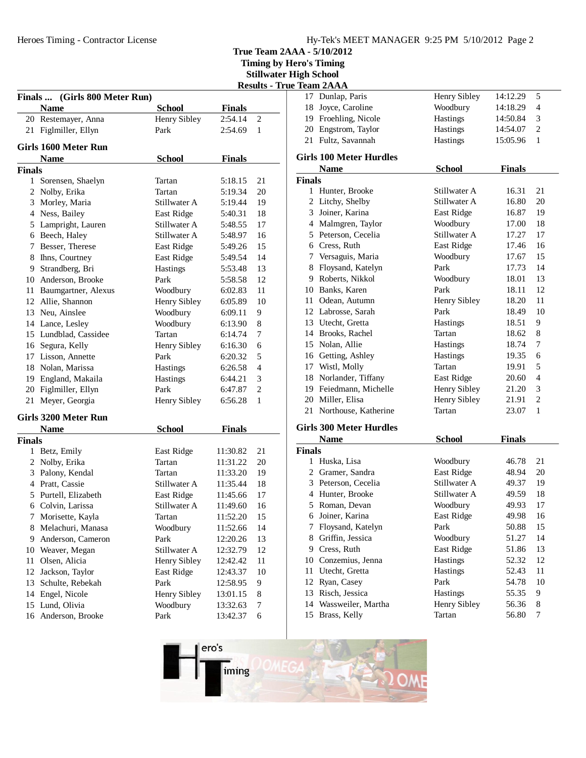Heroes Timing - Contractor License

**True Team 2AAA - 5/10/2012**

**Timing by Hero's Timing Results - True Team 2AAA**<br>Results - Team 2AAA

|               |                                     |               |               |                | <b>Stillwater High School</b>  |
|---------------|-------------------------------------|---------------|---------------|----------------|--------------------------------|
|               |                                     |               |               |                | <b>Results - True Team 2AA</b> |
|               | Finals  (Girls 800 Meter Run)       |               |               |                | 17 Dunla                       |
|               | <b>Name</b>                         | <b>School</b> | <b>Finals</b> |                | 18<br>Joyce                    |
|               | 20 Restemayer, Anna                 | Henry Sibley  | 2:54.14       | $\mathfrak{2}$ | 19 Froeh                       |
|               | 21 Figlmiller, Ellyn                | Park          | 2:54.69       | 1              | 20 Engst                       |
|               | Girls 1600 Meter Run                |               |               |                | 21 Fultz,                      |
|               | <b>Name</b>                         | <b>School</b> | <b>Finals</b> |                | <b>Girls 100 1</b>             |
| <b>Finals</b> |                                     |               |               |                | Nam                            |
|               | 1 Sorensen, Shaelyn                 | Tartan        | 5:18.15       | 21             | <b>Finals</b>                  |
|               | 2 Nolby, Erika                      | Tartan        | 5:19.34       | 20             | 1 Hunte                        |
|               | 3 Morley, Maria                     | Stillwater A  | 5:19.44       | 19             | 2 Litch                        |
|               | 4 Ness, Bailey                      | East Ridge    | 5:40.31       | 18             | 3<br>Joiner                    |
|               | 5 Lampright, Lauren                 | Stillwater A  | 5:48.55       | 17             | 4 Malm                         |
|               | 6 Beech, Haley                      | Stillwater A  | 5:48.97       | 16             | 5 Peters                       |
|               | 7 Besser, Therese                   | East Ridge    | 5:49.26       | 15             | Cress<br>6                     |
|               | 8 Ihns, Courtney                    | East Ridge    | 5:49.54       | 14             | 7<br>Versa                     |
|               | 9 Strandberg, Bri                   | Hastings      | 5:53.48       | 13             | 8 Floys                        |
|               | 10 Anderson, Brooke                 | Park          | 5:58.58       | 12             | 9 Rober                        |
|               | 11 Baumgartner, Alexus              | Woodbury      | 6:02.83       | 11             | 10<br><b>Bank</b>              |
|               | 12 Allie, Shannon                   | Henry Sibley  | 6:05.89       | 10             | 11<br>Odea                     |
|               | 13 Neu, Ainslee                     | Woodbury      | 6:09.11       | 9              | 12 Labro                       |
|               | 14 Lance, Lesley                    | Woodbury      | 6:13.90       | 8              | 13 Utech                       |
|               | 15 Lundblad, Cassidee               | Tartan        | 6:14.74       | 7              | 14 Brook                       |
|               | 16 Segura, Kelly                    | Henry Sibley  | 6:16.30       | 6              | 15 Nolar                       |
|               | 17 Lisson, Annette                  | Park          | 6:20.32       | 5              | 16 Gettin                      |
|               | 18 Nolan, Marissa                   | Hastings      | 6:26.58       | $\overline{4}$ | 17 Wistl                       |
|               | 19 England, Makaila                 | Hastings      | 6:44.21       | 3              | 18 Norla                       |
|               | 20 Figlmiller, Ellyn                | Park          | 6:47.87       | 2              | 19 Feied                       |
|               | 21 Meyer, Georgia                   | Henry Sibley  | 6:56.28       | 1              | 20 Mille                       |
|               |                                     |               |               |                | 21 North                       |
|               | Girls 3200 Meter Run<br><b>Name</b> | <b>School</b> | <b>Finals</b> |                | <b>Girls 300 1</b>             |
| <b>Finals</b> |                                     |               |               |                | <b>Nam</b>                     |
|               | 1 Betz, Emily                       | East Ridge    | 11:30.82      | 21             | <b>Finals</b>                  |
|               | 2 Nolby, Erika                      | Tartan        | 11:31.22      | 20             | 1 Husk                         |
|               | 3 Palony, Kendal                    | Tartan        | 11:33.20      | 19             | 2 Gram                         |
|               | 4 Pratt, Cassie                     | Stillwater A  | 11:35.44      | 18             | 3 Peters                       |
|               | 5 Purtell, Elizabeth                | East Ridge    | 11:45.66      | 17             | 4 Hunte                        |
|               | 6 Colvin, Larissa                   | Stillwater A  | 11:49.60      | 16             | Roma<br>5                      |
| 7             | Morisette, Kayla                    | Tartan        | 11:52.20      | 15             | Joiner<br>6                    |
|               | 8 Melachuri, Manasa                 | Woodbury      | 11:52.66      | 14             | Floys<br>7                     |
| 9             | Anderson, Cameron                   | Park          | 12:20.26      | 13             | Griffi<br>8                    |
|               | 10 Weaver, Megan                    | Stillwater A  | 12:32.79      | 12             | Cress<br>9                     |
| 11            | Olsen, Alicia                       | Henry Sibley  | 12:42.42      | 11             | Conzo<br>10                    |
| 12            | Jackson, Taylor                     | East Ridge    | 12:43.37      | 10             | Utech<br>11                    |
| 13            | Schulte, Rebekah                    | Park          | 12:58.95      | 9              | 12<br>Ryan,                    |
| 14            | Engel, Nicole                       | Henry Sibley  | 13:01.15      | 8              | 13 Risch                       |
|               | 15 Lund, Olivia                     | Woodbury      | 13:32.63      | 7              | 14 Wass                        |
|               | 16 Anderson, Brooke                 | Park          | 13:42.37      | 6              | 15<br><b>Brass</b>             |
|               |                                     |               |               |                |                                |

|        | 1eain <i>2</i> AAA             |               |               |                          |
|--------|--------------------------------|---------------|---------------|--------------------------|
|        | 17 Dunlap, Paris               | Henry Sibley  | 14:12.29      | 5                        |
| 18     | Joyce, Caroline                | Woodbury      | 14:18.29      | 4                        |
|        | 19 Froehling, Nicole           | Hastings      | 14:50.84      | 3                        |
|        | 20 Engstrom, Taylor            | Hastings      | 14:54.07      | $\overline{c}$           |
|        | 21 Fultz, Savannah             | Hastings      | 15:05.96      | $\mathbf{1}$             |
|        | <b>Girls 100 Meter Hurdles</b> |               |               |                          |
|        | <b>Name</b>                    | <b>School</b> | <b>Finals</b> |                          |
| Finals |                                |               |               |                          |
| 1      | Hunter, Brooke                 | Stillwater A  | 16.31         | 21                       |
|        | 2 Litchy, Shelby               | Stillwater A  | 16.80         | 20                       |
| 3      | Joiner, Karina                 | East Ridge    | 16.87         | 19                       |
|        | 4 Malmgren, Taylor             | Woodbury      | 17.00         | 18                       |
|        | 5 Peterson, Cecelia            | Stillwater A  | 17.27         | 17                       |
|        | 6 Cress, Ruth                  | East Ridge    | 17.46         | 16                       |
|        | 7 Versaguis, Maria             | Woodbury      | 17.67         | 15                       |
| 8      | Floysand, Katelyn              | Park          | 17.73         | 14                       |
| 9      | Roberts, Nikkol                | Woodbury      | 18.01         | 13                       |
|        | 10 Banks, Karen                | Park          | 18.11         | 12                       |
| 11     | Odean, Autumn                  | Henry Sibley  | 18.20         | 11                       |
|        | 12 Labrosse, Sarah             | Park          | 18.49         | 10                       |
|        | 13 Utecht, Gretta              | Hastings      | 18.51         | 9                        |
|        | 14 Brooks, Rachel              | Tartan        | 18.62         | 8                        |
|        | 15 Nolan, Allie                | Hastings      | 18.74         | 7                        |
|        | 16 Getting, Ashley             | Hastings      | 19.35         | 6                        |
|        | 17 Wistl, Molly                | Tartan        | 19.91         | 5                        |
| 18     | Norlander, Tiffany             | East Ridge    | 20.60         | $\overline{\mathcal{L}}$ |
|        | 19 Feiedmann, Michelle         | Henry Sibley  | 21.20         | 3                        |
|        | 20 Miller, Elisa               | Henry Sibley  | 21.91         | $\mathbf{2}$             |
| 21     | Northouse, Katherine           | Tartan        | 23.07         | $\mathbf{1}$             |
|        | <b>Girls 300 Meter Hurdles</b> |               |               |                          |
|        | <b>Name</b>                    | <b>School</b> | <b>Finals</b> |                          |
| Finals |                                |               |               |                          |
|        | 1 Huska, Lisa                  | Woodbury      | 46.78         | 21                       |
|        | 2 Gramer, Sandra               | East Ridge    | 48.94         | 20                       |
|        | 3 Peterson, Cecelia            | Stillwater A  | 49.37         | 19                       |
|        | 4 Hunter, Brooke               | Stillwater A  | 49.59         | 18                       |
|        | 5 Roman, Devan                 | Woodbury      | 49.93         | 17                       |
|        | 6 Joiner, Karina               | East Ridge    | 49.98         | 16                       |
| 7      | Floysand, Katelyn              | Park          | 50.88         | 15                       |
| 8      | Griffin, Jessica               | Woodbury      | 51.27         | 14                       |
|        | 9 Cress, Ruth                  | East Ridge    | 51.86         | 13                       |
|        | 10 Conzemius, Jenna            | Hastings      | 52.32         | 12                       |
| 11     | Utecht, Gretta                 | Hastings      | 52.43         | 11                       |
| 12     | Ryan, Casey                    | Park          | 54.78         | 10                       |
| 13     | Risch, Jessica                 | Hastings      | 55.35         | 9                        |
| 14     | Wassweiler, Martha             | Henry Sibley  | 56.36         | 8                        |
| 15     | Brass, Kelly                   | Tartan        | 56.80         | 7                        |
|        |                                |               |               |                          |

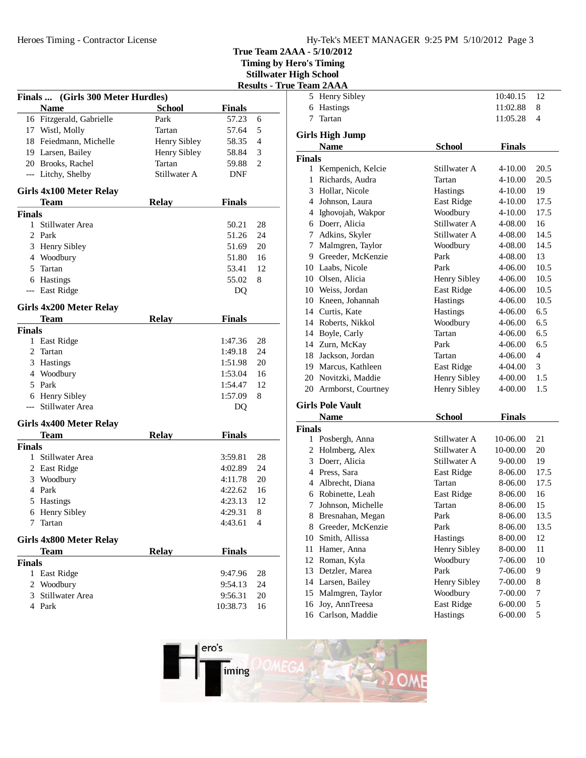**Timing by Hero's Timing Stillwater High School**

| $5.00$ $\mu$ $\mu$ $\mu$ $\mu$ $\mu$ $\sigma$ $\sigma$ |  |  |  |  |
|--------------------------------------------------------|--|--|--|--|
| <b>Results - True Team 2AAA</b>                        |  |  |  |  |

| <b>Finals</b> | (Girls 300 Meter Hurdles) |               |               |    |
|---------------|---------------------------|---------------|---------------|----|
|               | Name                      | <b>School</b> | <b>Finals</b> |    |
|               | 16 Fitzgerald, Gabrielle  | Park          | 57.23         | 6  |
|               | 17 Wistl, Molly           | Tartan        | 57.64         | 5  |
|               | 18 Feiedmann, Michelle    | Henry Sibley  | 58.35         | 4  |
|               | 19 Larsen, Bailey         | Henry Sibley  | 58.84         | 3  |
|               | 20 Brooks, Rachel         | Tartan        | 59.88         | 2  |
|               | --- Litchy, Shelby        | Stillwater A  | <b>DNF</b>    |    |
|               | Girls 4x100 Meter Relay   |               |               |    |
|               | Team                      | <b>Relay</b>  | <b>Finals</b> |    |
| <b>Finals</b> |                           |               |               |    |
| $\mathbf{1}$  | Stillwater Area           |               | 50.21         | 28 |
|               | 2 Park                    |               | 51.26         | 24 |
|               | 3 Henry Sibley            |               | 51.69         | 20 |
|               | 4 Woodbury                |               | 51.80         | 16 |
|               | 5 Tartan                  |               | 53.41         | 12 |
|               | 6 Hastings                |               | 55.02         | 8  |
| ---           | East Ridge                |               | DO            |    |
|               | Girls 4x200 Meter Relay   |               |               |    |
|               | Team                      | <b>Relay</b>  | <b>Finals</b> |    |
| <b>Finals</b> |                           |               |               |    |
|               | 1 East Ridge              |               | 1:47.36       | 28 |
| 2             | Tartan                    |               | 1:49.18       | 24 |
|               | 3 Hastings                |               | 1:51.98       | 20 |
|               | 4 Woodbury                |               | 1:53.04       | 16 |
|               | 5 Park                    |               | 1:54.47       | 12 |
|               | 6 Henry Sibley            |               | 1:57.09       | 8  |
| ---           | Stillwater Area           |               | DQ            |    |
|               | Girls 4x400 Meter Relay   |               |               |    |
|               | <b>Team</b>               | <b>Relay</b>  | <b>Finals</b> |    |
| <b>Finals</b> |                           |               |               |    |
| 1             | Stillwater Area           |               | 3:59.81       | 28 |
|               | 2 East Ridge              |               | 4:02.89       | 24 |
|               | 3 Woodbury                |               | 4:11.78       | 20 |
|               | 4 Park                    |               | 4:22.62       | 16 |
|               | 5 Hastings                |               | 4:23.13       | 12 |
|               | 6 Henry Sibley            |               | 4:29.31       | 8  |
| 7             | Tartan                    |               | 4:43.61       | 4  |
|               | Girls 4x800 Meter Relay   |               |               |    |
|               | Team                      | <b>Relay</b>  | <b>Finals</b> |    |
| <b>Finals</b> |                           |               |               |    |
| 1             | East Ridge                |               | 9:47.96       | 28 |
| 2             | Woodbury                  |               | 9:54.13       | 24 |
| 3             | Stillwater Area           |               | 9:56.31       | 20 |
|               | 4 Park                    |               | 10:38.73      | 16 |

|               | <b>Team ZAAA</b>        |               |               |        |
|---------------|-------------------------|---------------|---------------|--------|
|               | 5 Henry Sibley          |               | 10:40.15      | 12     |
|               | 6 Hastings              |               | 11:02.88      | 8      |
| 7             | Tartan                  |               | 11:05.28      | 4      |
|               | <b>Girls High Jump</b>  |               |               |        |
|               | <b>Name</b>             | <b>School</b> | <b>Finals</b> |        |
| <b>Finals</b> |                         |               |               |        |
|               | 1 Kempenich, Kelcie     | Stillwater A  | 4-10.00       | 20.5   |
| 1             | Richards, Audra         | Tartan        | 4-10.00       | 20.5   |
|               | 3 Hollar, Nicole        | Hastings      | 4-10.00       | 19     |
|               | 4 Johnson, Laura        | East Ridge    | 4-10.00       | 17.5   |
|               | 4 Ighovojah, Wakpor     | Woodbury      | $4 - 10.00$   | 17.5   |
|               | 6 Doerr, Alicia         | Stillwater A  | 4-08.00       | 16     |
|               | 7 Adkins, Skyler        | Stillwater A  | 4-08.00       | 14.5   |
|               | 7 Malmgren, Taylor      | Woodbury      | 4-08.00       | 14.5   |
|               | 9 Greeder, McKenzie     | Park          | 4-08.00       | 13     |
|               | 10 Laabs, Nicole        | Park          | 4-06.00       | 10.5   |
|               | 10 Olsen, Alicia        | Henry Sibley  | 4-06.00       | 10.5   |
|               | 10 Weiss, Jordan        | East Ridge    | 4-06.00       | 10.5   |
|               | 10 Kneen, Johannah      | Hastings      | 4-06.00       | 10.5   |
|               | 14 Curtis, Kate         | Hastings      | 4-06.00       | 6.5    |
|               | 14 Roberts, Nikkol      | Woodbury      | 4-06.00       | 6.5    |
|               | 14 Boyle, Carly         | Tartan        | 4-06.00       | 6.5    |
|               | 14 Zurn, McKay          | Park          | 4-06.00       | 6.5    |
|               | 18 Jackson, Jordan      | Tartan        | 4-06.00       | 4      |
|               | 19 Marcus, Kathleen     | East Ridge    | 4-04.00       | 3      |
|               | 20 Novitzki, Maddie     | Henry Sibley  | 4-00.00       | 1.5    |
|               | 20 Armborst, Courtney   | Henry Sibley  | 4-00.00       | 1.5    |
|               | <b>Girls Pole Vault</b> |               |               |        |
|               | <b>Name</b>             | <b>School</b> | <b>Finals</b> |        |
| <b>Finals</b> |                         |               |               |        |
|               | 1 Posbergh, Anna        | Stillwater A  | 10-06.00      | 21     |
|               | 2 Holmberg, Alex        | Stillwater A  | 10-00.00      | 20     |
|               | 3 Doerr, Alicia         | Stillwater A  | 9-00.00       | 19     |
|               | 4 Press, Sara           | East Ridge    | 8-06.00       | 17.5   |
|               | 4 Albrecht, Diana       | Tartan        | 8-06.00       | 17.5   |
| 6             | Robinette, Leah         | East Ridge    | 8-06.00       | 16     |
| 7             | Johnson, Michelle       | Tartan        | 8-06.00       | 15     |
| 8             | Bresnahan, Megan        | Park          | 8-06.00       | 13.5   |
| 8             | Greeder, McKenzie       | Park          | 8-06.00       | 13.5   |
| 10            | Smith, Allissa          | Hastings      | 8-00.00       | 12     |
| 11            | Hamer, Anna             | Henry Sibley  | 8-00.00       | 11     |
| 12            | Roman, Kyla             | Woodbury      | 7-06.00       | 10     |
| 13            | Detzler, Marea          | Park          | 7-06.00       | 9      |
|               | 14 Larsen, Bailey       | Henry Sibley  | 7-00.00       | 8      |
|               | 15 Malmgren, Taylor     | Woodbury      | 7-00.00       | $\tau$ |

16 Joy, AnnTreesa<br>East Ridge 6-00.00 5 16 Carlson, Maddie Hastings 6-00.00 5

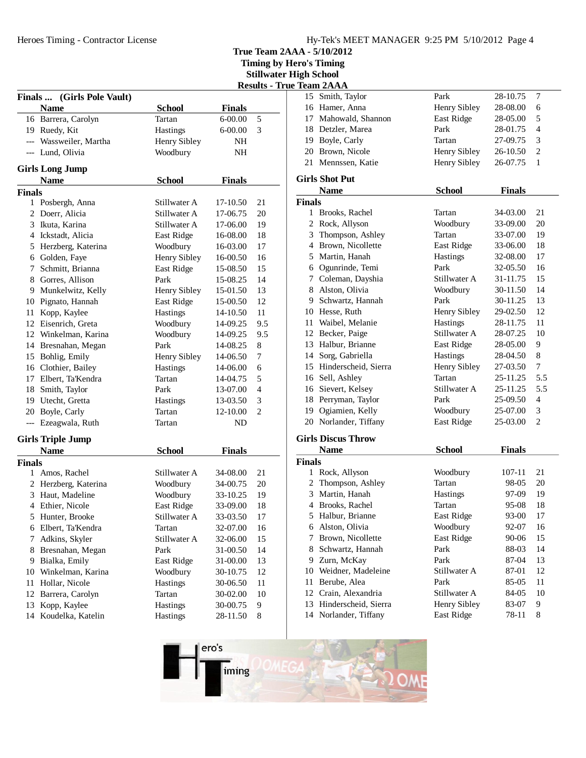Heroes Timing - Contractor License

**True Team 2AAA - 5/10/2012**

**Timing by Hero's Timing**

**Stillwater High School**

|               |                                       |               |               |     | <b>Results - True Team 2AAA</b> |                      |
|---------------|---------------------------------------|---------------|---------------|-----|---------------------------------|----------------------|
|               | Finals  (Girls Pole Vault)            |               |               |     |                                 | 15 Smith, 7          |
|               | <b>Name</b>                           | <b>School</b> | <b>Finals</b> |     |                                 | 16 Hamer,            |
|               | 16 Barrera, Carolyn                   | Tartan        | 6-00.00       | 5   |                                 | 17 Mahowa            |
|               | 19 Ruedy, Kit                         | Hastings      | 6-00.00       | 3   |                                 | 18 Detzler,          |
|               | --- Wassweiler, Martha                | Henry Sibley  | NH            |     |                                 | 19 Boyle, C          |
|               | --- Lund, Olivia                      | Woodbury      | NH            |     |                                 | 20 Brown,            |
|               |                                       |               |               |     |                                 | 21 Mennsse           |
|               | <b>Girls Long Jump</b><br><b>Name</b> | <b>School</b> | <b>Finals</b> |     |                                 | <b>Girls Shot Pt</b> |
| <b>Finals</b> |                                       |               |               |     |                                 | <b>Name</b>          |
|               | 1 Posbergh, Anna                      | Stillwater A  | 17-10.50      | 21  | <b>Finals</b>                   |                      |
|               | 2 Doerr, Alicia                       | Stillwater A  | 17-06.75      | 20  |                                 | 1 Brooks,            |
|               | 3 Ikuta, Karina                       | Stillwater A  | 17-06.00      | 19  |                                 | 2 Rock, A            |
|               | 4 Ickstadt, Alicia                    | East Ridge    | 16-08.00      | 18  |                                 | 3 Thomps             |
|               | 5 Herzberg, Katerina                  | Woodbury      | 16-03.00      | 17  |                                 | 4 Brown,             |
|               | 6 Golden, Faye                        | Henry Sibley  | 16-00.50      | 16  |                                 | 5 Martin,            |
|               | 7 Schmitt, Brianna                    | East Ridge    | 15-08.50      | 15  | 6                               | Ogunrin              |
|               | 8 Gorres, Allison                     | Park          | 15-08.25      | 14  |                                 | 7 Colemar            |
|               |                                       |               |               |     |                                 | 8 Alston,            |
|               | 9 Munkelwitz, Kelly                   | Henry Sibley  | 15-01.50      | 13  |                                 | 9 Schwart            |
|               | 10 Pignato, Hannah                    | East Ridge    | 15-00.50      | 12  |                                 |                      |
| 11 -          | Kopp, Kaylee                          | Hastings      | 14-10.50      | 11  |                                 | 10 Hesse, F          |
|               | 12 Eisenrich, Greta                   | Woodbury      | 14-09.25      | 9.5 |                                 | 11 Waibel,           |
|               | 12 Winkelman, Karina                  | Woodbury      | 14-09.25      | 9.5 |                                 | 12 Becker,           |
|               | 14 Bresnahan, Megan                   | Park          | 14-08.25      | 8   |                                 | 13 Halbur,           |
|               | 15 Bohlig, Emily                      | Henry Sibley  | 14-06.50      | 7   | 14                              | Sorg, Ga             |
|               | 16 Clothier, Bailey                   | Hastings      | 14-06.00      | 6   |                                 | 15 Hinders           |
|               | 17 Elbert, Ta'Kendra                  | Tartan        | 14-04.75      | 5   |                                 | 16 Sell, Asl         |
|               | 18 Smith, Taylor                      | Park          | 13-07.00      | 4   |                                 | 16 Sievert,          |
|               | 19 Utecht, Gretta                     | Hastings      | 13-03.50      | 3   |                                 | 18 Perryma           |
|               | 20 Boyle, Carly                       | Tartan        | 12-10.00      | 2   | 19                              | Ogiamie              |
|               | --- Ezeagwala, Ruth                   | Tartan        | ND            |     |                                 | 20 Norland           |
|               | <b>Girls Triple Jump</b>              |               |               |     |                                 | <b>Girls Discus</b>  |
|               | <b>Name</b>                           | <b>School</b> | <b>Finals</b> |     |                                 | <b>Name</b>          |
| <b>Finals</b> |                                       |               |               |     | <b>Finals</b>                   |                      |
|               | 1 Amos, Rachel                        | Stillwater A  | 34-08.00      | 21  |                                 | 1 Rock, A            |
|               | 2 Herzberg, Katerina                  | Woodbury      | 34-00.75      | 20  |                                 | 2 Thomps             |
|               | 3 Haut, Madeline                      | Woodbury      | 33-10.25      | 19  |                                 | 3 Martin,            |
|               | 4 Ethier, Nicole                      | East Ridge    | 33-09.00      | 18  |                                 | 4 Brooks,            |
| 5             | Hunter, Brooke                        | Stillwater A  | 33-03.50      | 17  | 5.                              | Halbur,              |
|               | 6 Elbert, Ta'Kendra                   | Tartan        | 32-07.00      | 16  | 6                               | Alston,              |
| 7             | Adkins, Skyler                        | Stillwater A  | 32-06.00      | 15  | 7                               | Brown,               |
| 8             | Bresnahan, Megan                      | Park          | 31-00.50      | 14  | 8                               | Schwart              |
|               | 9 Bialka, Emily                       | East Ridge    | 31-00.00      | 13  | 9                               | Zurn, M              |
| 10            | Winkelman, Karina                     | Woodbury      | 30-10.75      | 12  | 10                              | Weidner              |
| 11            | Hollar, Nicole                        | Hastings      | 30-06.50      | 11  | 11                              | Berube,              |
| 12            | Barrera, Carolyn                      | Tartan        | 30-02.00      | 10  | 12                              | Crain, A             |
| 13            | Kopp, Kaylee                          | Hastings      | 30-00.75      | 9   | 13                              | Hinders              |
| 14            | Koudelka, Katelin                     | Hastings      | 28-11.50      | 8   |                                 | 14 Norland           |
|               |                                       |               |               |     |                                 |                      |

|               | 1eaiil <i>2</i> AAA       |               |               |                |
|---------------|---------------------------|---------------|---------------|----------------|
|               | 15 Smith, Taylor          | Park          | 28-10.75      | $\tau$         |
|               | 16 Hamer, Anna            | Henry Sibley  | 28-08.00      | 6              |
|               | 17 Mahowald, Shannon      | East Ridge    | 28-05.00      | 5              |
|               | 18 Detzler, Marea         | Park          | 28-01.75      | $\overline{4}$ |
|               | 19 Boyle, Carly           | Tartan        | 27-09.75      | 3              |
|               | 20 Brown, Nicole          | Henry Sibley  | 26-10.50      | 2              |
|               | 21 Mennssen, Katie        | Henry Sibley  | 26-07.75      | 1              |
|               | <b>Girls Shot Put</b>     |               |               |                |
|               | <b>Name</b>               | <b>School</b> | <b>Finals</b> |                |
| <b>Finals</b> |                           |               |               |                |
| $\mathbf{1}$  | Brooks, Rachel            | Tartan        | 34-03.00      | 21             |
|               | 2 Rock, Allyson           | Woodbury      | 33-09.00      | 20             |
|               | 3 Thompson, Ashley        | Tartan        | 33-07.00      | 19             |
|               | 4 Brown, Nicollette       | East Ridge    | 33-06.00      | 18             |
|               | 5 Martin, Hanah           | Hastings      | 32-08.00      | 17             |
|               | 6 Ogunrinde, Temi         | Park          | 32-05.50      | 16             |
|               | 7 Coleman, Dayshia        | Stillwater A  | 31-11.75      | 15             |
|               | 8 Alston, Olivia          | Woodbury      | 30-11.50      | 14             |
|               | 9 Schwartz, Hannah        | Park          | 30-11.25      | 13             |
|               | 10 Hesse, Ruth            | Henry Sibley  | 29-02.50      | 12             |
|               | 11 Waibel, Melanie        | Hastings      | 28-11.75      | 11             |
|               | 12 Becker, Paige          | Stillwater A  | 28-07.25      | 10             |
|               | 13 Halbur, Brianne        | East Ridge    | 28-05.00      | 9              |
|               | 14 Sorg, Gabriella        | Hastings      | 28-04.50      | 8              |
|               | 15 Hinderscheid, Sierra   | Henry Sibley  | 27-03.50      | 7              |
|               | 16 Sell, Ashley           | Tartan        | 25-11.25      | 5.5            |
|               | 16 Sievert, Kelsey        | Stillwater A  | 25-11.25      | 5.5            |
|               | 18 Perryman, Taylor       | Park          | 25-09.50      | $\overline{4}$ |
|               | 19 Ogiamien, Kelly        | Woodbury      | 25-07.00      | 3              |
|               | 20 Norlander, Tiffany     | East Ridge    | 25-03.00      | 2              |
|               | <b>Girls Discus Throw</b> |               |               |                |
|               | <b>Name</b>               | <b>School</b> | <b>Finals</b> |                |
| <b>Finals</b> |                           |               |               |                |
|               | 1 Rock, Allyson           | Woodbury      | 107-11        | 21             |
|               | 2 Thompson, Ashley        | Tartan        | 98-05         | 20             |
|               | 3 Martin, Hanah           | Hastings      | 97-09         | 19             |
|               | 4 Brooks, Rachel          | Tartan        | 95-08         | 18             |
|               | 5 Halbur, Brianne         | East Ridge    | 93-00         | 17             |
|               | 6 Alston, Olivia          | Woodbury      | 92-07         | 16             |
| 7             | Brown, Nicollette         | East Ridge    | 90-06         | 15             |
| 8             | Schwartz, Hannah          | Park          | 88-03         | 14             |
| 9.            | Zurn, McKay               | Park          | 87-04         | 13             |
| 10            | Weidner, Madeleine        | Stillwater A  | 87-01         | 12             |
| 11            | Berube, Alea              | Park          | 85-05         | 11             |
| 12            | Crain, Alexandria         | Stillwater A  | 84-05         | 10             |
| 13            | Hinderscheid, Sierra      | Henry Sibley  | 83-07         | 9              |

14 Norlander, Tiffany<br>14 East Ridge 78-11 8

ero's iming  $\Omega$  OM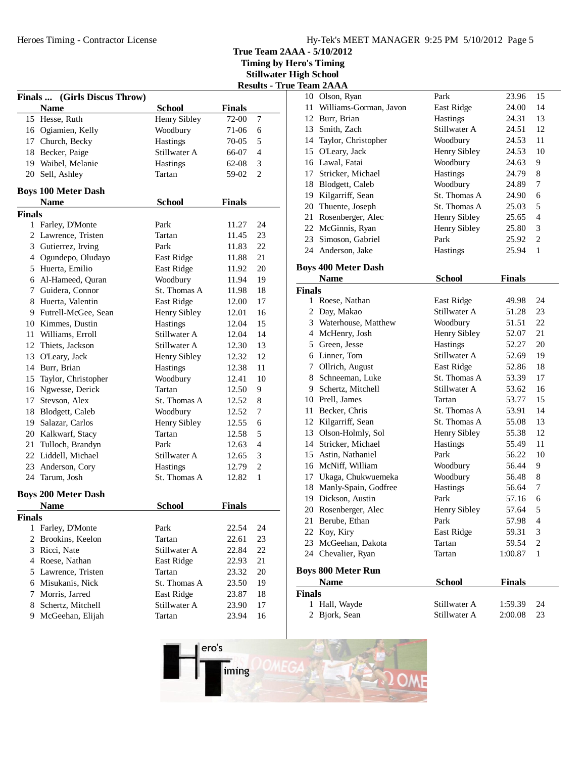**Timing by Hero's Timing**

**Stillwater High School**

|               |                              |               |               | <b>Results - Ti</b> |
|---------------|------------------------------|---------------|---------------|---------------------|
|               | Finals  (Girls Discus Throw) |               |               |                     |
|               | <b>Name</b>                  | <b>School</b> | <b>Finals</b> |                     |
|               | 15 Hesse, Ruth               | Henry Sibley  | 72-00         | 7                   |
|               | 16 Ogiamien, Kelly           | Woodbury      | 71-06         | 6                   |
|               | 17 Church, Becky             | Hastings      | 70-05         | 5                   |
|               | 18 Becker, Paige             | Stillwater A  | 66-07         | $\overline{4}$      |
|               | 19 Waibel, Melanie           | Hastings      | 62-08         | 3                   |
|               | 20 Sell, Ashley              | Tartan        | 59-02         | $\overline{2}$      |
|               | <b>Boys 100 Meter Dash</b>   |               |               |                     |
|               | <b>Name</b>                  | <b>School</b> | <b>Finals</b> |                     |
| <b>Finals</b> |                              |               |               |                     |
|               | 1 Farley, D'Monte            | Park          | 11.27         | 24                  |
|               | 2 Lawrence, Tristen          | Tartan        | 11.45         | 23                  |
|               | 3 Gutierrez, Irving          | Park          | 11.83         | 22                  |
|               | 4 Ogundepo, Oludayo          | East Ridge    | 11.88         | 21                  |
|               | 5 Huerta, Emilio             | East Ridge    | 11.92         | 20                  |
|               | 6 Al-Hameed, Quran           | Woodbury      | 11.94         | 19                  |
|               | 7 Guidera, Connor            | St. Thomas A  | 11.98         | 18                  |
|               | 8 Huerta, Valentin           | East Ridge    | 12.00         | 17                  |
|               | 9 Futrell-McGee, Sean        | Henry Sibley  | 12.01         | 16                  |
|               | 10 Kimmes, Dustin            | Hastings      | 12.04         | 15                  |
|               | 11 Williams, Erroll          | Stillwater A  | 12.04         | 14                  |
|               | 12 Thiets, Jackson           | Stillwater A  | 12.30         | 13                  |
|               |                              |               |               |                     |
|               | 13 O'Leary, Jack             | Henry Sibley  | 12.32         | 12                  |
|               | 14 Burr, Brian               | Hastings      | 12.38         | 11                  |
|               | 15 Taylor, Christopher       | Woodbury      | 12.41         | 10                  |
|               | 16 Ngwesse, Derick           | Tartan        | 12.50         | 9                   |
|               | 17 Stevson, Alex             | St. Thomas A  | 12.52         | 8                   |
|               | 18 Blodgett, Caleb           | Woodbury      | 12.52         | 7                   |
|               | 19 Salazar, Carlos           | Henry Sibley  | 12.55         | 6                   |
|               | 20 Kalkwarf, Stacy           | Tartan        | 12.58         | 5                   |
|               | 21 Tulloch, Brandyn          | Park          | 12.63         | $\overline{4}$      |
|               | 22 Liddell, Michael          | Stillwater A  | 12.65         | 3                   |
|               | 23 Anderson, Cory            | Hastings      | 12.79         | $\mathbf{2}$        |
|               | 24 Tarum, Josh               | St. Thomas A  | 12.82         | 1                   |
|               | <b>Boys 200 Meter Dash</b>   |               |               |                     |
|               | <b>Name</b>                  | <b>School</b> | <b>Finals</b> |                     |
| <b>Finals</b> |                              |               |               |                     |
| 1             | Farley, D'Monte              | Park          | 22.54         | 24                  |
| 2             | Brookins, Keelon             | Tartan        | 22.61         | 23                  |
|               | 3 Ricci, Nate                | Stillwater A  | 22.84         | 22                  |
|               | 4 Roese, Nathan              | East Ridge    | 22.93         | 21                  |
|               | 5 Lawrence, Tristen          | Tartan        | 23.32         | 20                  |
|               | 6 Misukanis, Nick            | St. Thomas A  | 23.50         | 19                  |
|               | 7 Morris, Jarred             | East Ridge    | 23.87         | 18                  |
|               | 8 Schertz, Mitchell          | Stillwater A  | 23.90         | 17                  |
| 9.            | McGeehan, Elijah             | Tartan        | 23.94         | 16                  |
|               |                              |               |               |                     |

|               | rue Team 2AAA              |                     |               |                |
|---------------|----------------------------|---------------------|---------------|----------------|
|               | 10 Olson, Ryan             | Park                | 23.96         | 15             |
| 11-           | Williams-Gorman, Javon     | East Ridge          | 24.00         | 14             |
|               | 12 Burr, Brian             | Hastings            | 24.31         | 13             |
|               | 13 Smith, Zach             | Stillwater A        | 24.51         | 12             |
|               | 14 Taylor, Christopher     | Woodbury            | 24.53         | 11             |
|               | 15 O'Leary, Jack           | <b>Henry Sibley</b> | 24.53         | 10             |
|               | 16 Lawal, Fatai            | Woodbury            | 24.63         | 9              |
|               | 17 Stricker, Michael       | Hastings            | 24.79         | 8              |
|               | 18 Blodgett, Caleb         | Woodbury            | 24.89         | 7              |
|               | 19 Kilgarriff, Sean        | St. Thomas A        | 24.90         | 6              |
|               | 20 Thuente, Joseph         | St. Thomas A        | 25.03         | 5              |
|               | 21 Rosenberger, Alec       | Henry Sibley        | 25.65         | $\overline{4}$ |
|               | 22 McGinnis, Ryan          | Henry Sibley        | 25.80         | 3              |
|               | 23 Simoson, Gabriel        | Park                | 25.92         | $\overline{2}$ |
|               | 24 Anderson, Jake          | Hastings            | 25.94         | $\mathbf{1}$   |
|               | <b>Boys 400 Meter Dash</b> |                     |               |                |
|               | <b>Name</b>                | <b>School</b>       | <b>Finals</b> |                |
| <b>Finals</b> |                            |                     |               |                |
|               | 1 Roese, Nathan            | East Ridge          | 49.98         | 24             |
|               | 2 Day, Makao               | Stillwater A        | 51.28         | 23             |
|               | 3 Waterhouse, Matthew      | Woodbury            | 51.51         | 22             |
|               | 4 McHenry, Josh            | Henry Sibley        | 52.07         | 21             |
|               | 5 Green, Jesse             | Hastings            | 52.27         | 20             |
|               | 6 Linner, Tom              | Stillwater A        | 52.69         | 19             |
|               | 7 Ollrich, August          | <b>East Ridge</b>   | 52.86         | 18             |
|               | 8 Schneeman, Luke          | St. Thomas A        | 53.39         | 17             |
|               | 9 Schertz, Mitchell        | Stillwater A        | 53.62         | 16             |
|               | 10 Prell, James            | Tartan              | 53.77         | 15             |
|               | 11 Becker, Chris           | St. Thomas A        | 53.91         | 14             |
|               | 12 Kilgarriff, Sean        | St. Thomas A        | 55.08         | 13             |
|               | 13 Olson-Holmly, Sol       | Henry Sibley        | 55.38         | 12             |
|               | 14 Stricker, Michael       | Hastings            | 55.49         | 11             |
|               | 15 Astin, Nathaniel        | Park                | 56.22         | 10             |
|               | 16 McNiff, William         | Woodbury            | 56.44         | 9              |
|               | 17 Ukaga, Chukwuemeka      | Woodbury            | 56.48         | $\,8$          |
|               | 18 Manly-Spain, Godfree    | Hastings            | 56.64         | 7              |
|               | 19 Dickson, Austin         | Park                | 57.16         | 6              |
|               | 20 Rosenberger, Alec       | Henry Sibley        | 57.64         | 5              |
|               | 21 Berube, Ethan           | Park                | 57.98         | 4              |
|               | 22 Koy, Kiry               | East Ridge          | 59.31         | 3              |
|               | 23 McGeehan, Dakota        | Tartan              | 59.54         | 2              |
|               | 24 Chevalier, Ryan         | Tartan              | 1:00.87       | 1              |
|               | <b>Boys 800 Meter Run</b>  |                     |               |                |
|               | <b>Name</b>                | <b>School</b>       | <b>Finals</b> |                |
| <b>Finals</b> |                            |                     |               |                |
| 1             | Hall, Wayde                | Stillwater A        | 1:59.39       | 24             |
|               | 2 Bjork, Sean              | Stillwater A        | 2:00.08       | 23             |

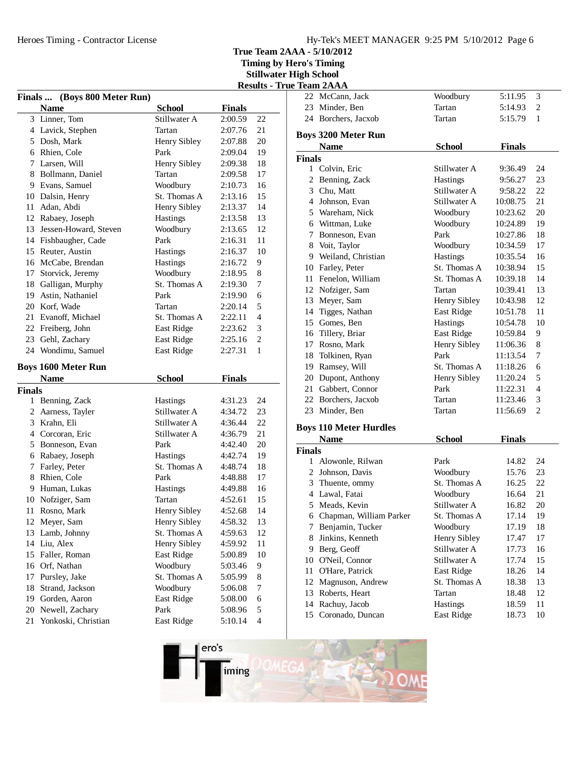**Timing by Hero's Timing Stillwater High School**

|                                 |  | - |  |
|---------------------------------|--|---|--|
| <b>Results - True Team 2AAA</b> |  |   |  |

|        | Finals  (Boys 800 Meter Run)              |                 |               |                |
|--------|-------------------------------------------|-----------------|---------------|----------------|
|        | <b>Name</b>                               | <b>School</b>   | <b>Finals</b> |                |
|        | 3 Linner, Tom                             | Stillwater A    | 2:00.59       | 22             |
|        | 4 Lavick, Stephen                         | Tartan          | 2:07.76       | 21             |
|        | 5 Dosh, Mark                              | Henry Sibley    | 2:07.88       | 20             |
|        | 6 Rhien, Cole                             | Park            | 2:09.04       | 19             |
|        | 7 Larsen, Will                            | Henry Sibley    | 2:09.38       | 18             |
|        | 8 Bollmann, Daniel                        | Tartan          | 2:09.58       | 17             |
|        | 9 Evans, Samuel                           | Woodbury        | 2:10.73       | 16             |
|        | 10 Dalsin, Henry                          | St. Thomas A    | 2:13.16       | 15             |
|        | 11 Adan, Abdi                             | Henry Sibley    | 2:13.37       | 14             |
|        | 12 Rabaey, Joseph                         | Hastings        | 2:13.58       | 13             |
|        | 13 Jessen-Howard, Steven                  | Woodbury        | 2:13.65       | 12             |
|        | 14 Fishbaugher, Cade                      | Park            | 2:16.31       | 11             |
|        | 15 Reuter, Austin                         | Hastings        | 2:16.37       | 10             |
|        | 16 McCabe, Brendan                        | Hastings        | 2:16.72       | 9              |
|        | 17 Storvick, Jeremy                       | Woodbury        | 2:18.95       | 8              |
| 18     | Galligan, Murphy                          | St. Thomas A    | 2:19.30       | 7              |
|        | 19 Astin, Nathaniel                       | Park            | 2:19.90       | 6              |
|        | 20 Korf, Wade                             | Tartan          | 2:20.14       | 5              |
|        | 21 Evanoff, Michael                       | St. Thomas A    | 2:22.11       | $\overline{4}$ |
|        | 22 Freiberg, John                         | East Ridge      | 2:23.62       | 3              |
|        | 23 Gehl, Zachary                          | East Ridge      | 2:25.16       | $\overline{c}$ |
|        | 24 Wondimu, Samuel                        | East Ridge      | 2:27.31       | $\mathbf{1}$   |
|        |                                           |                 |               |                |
|        | <b>Boys 1600 Meter Run</b><br><b>Name</b> | <b>School</b>   | <b>Finals</b> |                |
| Finals |                                           |                 |               |                |
|        | 1 Benning, Zack                           | <b>Hastings</b> | 4:31.23       | 24             |
|        | 2 Aarness, Tayler                         | Stillwater A    | 4:34.72       | 23             |
|        | 3 Krahn, Eli                              | Stillwater A    | 4:36.44       | 22             |
|        | 4 Corcoran, Eric                          | Stillwater A    | 4:36.79       | 21             |
|        | 5 Bonneson, Evan                          | Park            | 4:42.40       | 20             |
|        | 6 Rabaey, Joseph                          | Hastings        | 4:42.74       | 19             |
|        | 7 Farley, Peter                           | St. Thomas A    | 4:48.74       | 18             |
|        | 8 Rhien, Cole                             | Park            | 4:48.88       | 17             |
|        | 9 Human, Lukas                            | Hastings        | 4:49.88       | 16             |
|        | 10 Nofziger, Sam                          | Tartan          | 4:52.61       | 15             |
| 11     | Rosno, Mark                               | Henry Sibley    | 4:52.68       | 14             |
| 12     | Meyer, Sam                                | Henry Sibley    | 4:58.32       | 13             |
| 13     | Lamb, Johnny                              | St. Thomas A    | 4:59.63       | 12             |
| 14     | Liu, Alex                                 | Henry Sibley    | 4:59.92       | 11             |
| 15     | Faller, Roman                             | East Ridge      | 5:00.89       | 10             |
| 16     | Orf, Nathan                               | Woodbury        | 5:03.46       | 9              |
| 17     | Pursley, Jake                             | St. Thomas A    | 5:05.99       | 8              |
| 18     | Strand, Jackson                           | Woodbury        | 5:06.08       | 7              |
| 19     | Gorden, Aaron                             | East Ridge      | 5:08.00       | 6              |
| 20     | Newell, Zachary                           | Park            | 5:08.96       | 5              |
| 21     | Yonkoski, Christian                       | East Ridge      | 5:10.14       | $\overline{4}$ |

| e Ieam ZAAA   |                               |                 |               |                |  |
|---------------|-------------------------------|-----------------|---------------|----------------|--|
|               | 22 McCann, Jack               | Woodbury        | 5:11.95       | 3              |  |
|               | 23 Minder, Ben                | Tartan          | 5:14.93       | 2              |  |
|               | 24 Borchers, Jacxob           | Tartan          | 5:15.79       | $\mathbf{1}$   |  |
|               | <b>Boys 3200 Meter Run</b>    |                 |               |                |  |
|               | <b>Name</b>                   | School          | <b>Finals</b> |                |  |
| <b>Finals</b> |                               |                 |               |                |  |
|               | 1 Colvin, Eric                | Stillwater A    | 9:36.49       | 24             |  |
|               | 2 Benning, Zack               | Hastings        | 9:56.27       | 23             |  |
|               | 3 Chu, Matt                   | Stillwater A    | 9:58.22       | 22             |  |
|               | 4 Johnson, Evan               | Stillwater A    | 10:08.75      | 21             |  |
|               | 5 Wareham, Nick               | Woodbury        | 10:23.62      | 20             |  |
|               | 6 Wittman, Luke               | Woodbury        | 10:24.89      | 19             |  |
|               | 7 Bonneson, Evan              | Park            | 10:27.86      | 18             |  |
|               | 8 Voit, Taylor                | Woodbury        | 10:34.59      | 17             |  |
|               | 9 Weiland, Christian          | <b>Hastings</b> | 10:35.54      | 16             |  |
|               | 10 Farley, Peter              | St. Thomas A    | 10:38.94      | 15             |  |
|               | 11 Fenelon, William           | St. Thomas A    | 10:39.18      | 14             |  |
|               | 12 Nofziger, Sam              | Tartan          | 10:39.41      | 13             |  |
|               | 13 Meyer, Sam                 | Henry Sibley    | 10:43.98      | 12             |  |
|               | 14 Tigges, Nathan             | East Ridge      | 10:51.78      | 11             |  |
|               | 15 Gomes, Ben                 | Hastings        | 10:54.78      | 10             |  |
|               | 16 Tillery, Briar             | East Ridge      | 10:59.84      | 9              |  |
|               | 17 Rosno, Mark                | Henry Sibley    | 11:06.36      | 8              |  |
|               | 18 Tolkinen, Ryan             | Park            | 11:13.54      | 7              |  |
|               | 19 Ramsey, Will               | St. Thomas A    | 11:18.26      | 6              |  |
|               | 20 Dupont, Anthony            | Henry Sibley    | 11:20.24      | 5              |  |
|               | 21 Gabbert, Connor            | Park            | 11:22.31      | $\overline{4}$ |  |
|               | 22 Borchers, Jacxob           | Tartan          | 11:23.46      | 3              |  |
|               | 23 Minder, Ben                | Tartan          | 11:56.69      | $\overline{2}$ |  |
|               | <b>Boys 110 Meter Hurdles</b> |                 |               |                |  |
|               | <b>Name</b>                   | <b>School</b>   | <b>Finals</b> |                |  |
| <b>Finals</b> |                               |                 |               |                |  |
|               | 1 Alowonle, Rilwan            | Park            | 14.82         | 24             |  |
|               | 2 Johnson, Davis              | Woodbury        | 15.76         | 23             |  |
|               | 3 Thuente, ommy               | St. Thomas A    | 16.25         | 22             |  |
|               | 4 Lawal, Fatai                | Woodbury        | 16.64         | 21             |  |
|               | 5 Meads, Kevin                | Stillwater A    | 16.82         | 20             |  |
|               | 6 Chapman, William Parker     | St. Thomas A    | 17.14         | 19             |  |
|               | 7 Benjamin, Tucker            | Woodbury        | 17.19         | 18             |  |
|               | 8 Jinkins, Kenneth            | Henry Sibley    | 17.47         | 17             |  |
|               | 9 Berg, Geoff                 | Stillwater A    | 17.73         | 16             |  |
|               | 10 O'Neil, Connor             | Stillwater A    | 17.74         | 15             |  |
|               | $\mathbf{r}$ $\mathbf{r}$     | $\sqrt{2}$      | 102           | 1.4            |  |

11 O'Hare, Patrick East Ridge 18.26 14 12 Magnuson, Andrew St. Thomas A 18.38 13 13 Roberts, Heart Tartan 18.48 12 14 Rachuy, Jacob Hastings 18.59 11 15 Coronado, Duncan<br>15 East Ridge 18.73 10

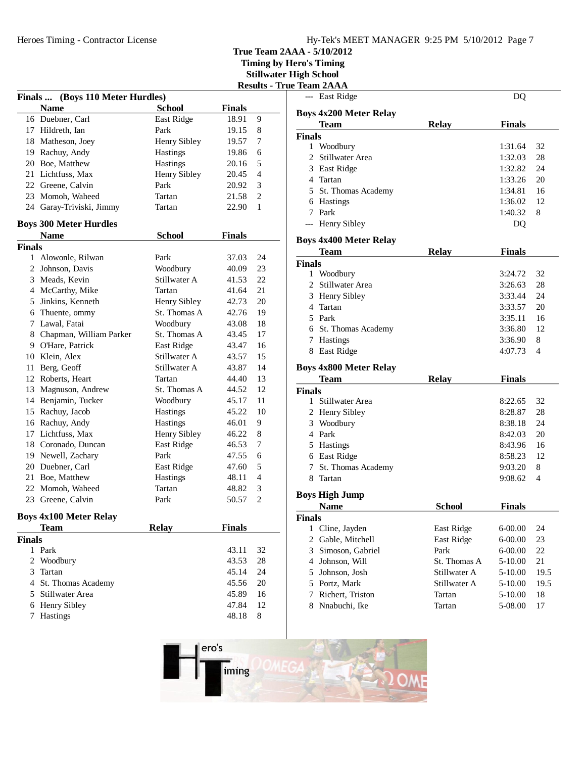**Timing by Hero's Timing**

**Stillwater High School**

|               |                                  |               |               | <b>Results - True</b> |
|---------------|----------------------------------|---------------|---------------|-----------------------|
|               | Finals  (Boys 110 Meter Hurdles) |               |               |                       |
|               | <b>Name</b>                      | <b>School</b> | <b>Finals</b> |                       |
|               | 16 Duebner, Carl                 | East Ridge    | 18.91         | 9                     |
|               | 17 Hildreth, Ian                 | Park          | 19.15         | 8                     |
|               | 18 Matheson, Joey                | Henry Sibley  | 19.57         | 7                     |
|               | 19 Rachuy, Andy                  | Hastings      | 19.86         | 6                     |
|               | 20 Boe, Matthew                  | Hastings      | 20.16         | 5                     |
|               | 21 Lichtfuss, Max                | Henry Sibley  | 20.45         | $\overline{4}$        |
|               | 22 Greene, Calvin                | Park          | 20.92         | 3                     |
|               | 23 Momoh, Waheed                 | Tartan        | 21.58         | 2                     |
|               | 24 Garay-Triviski, Jimmy         | Tartan        | 22.90         | 1                     |
|               | <b>Boys 300 Meter Hurdles</b>    |               |               |                       |
|               | <b>Name</b>                      | <b>School</b> | <b>Finals</b> |                       |
| <b>Finals</b> |                                  |               |               |                       |
|               | 1 Alowonle, Rilwan               | Park          | 37.03         | 24                    |
|               | 2 Johnson, Davis                 | Woodbury      | 40.09         | 23                    |
|               | 3 Meads, Kevin                   | Stillwater A  | 41.53         | 22                    |
|               | 4 McCarthy, Mike                 | Tartan        | 41.64         | 21                    |
|               | 5 Jinkins, Kenneth               | Henry Sibley  | 42.73         | 20                    |
|               | 6 Thuente, ommy                  | St. Thomas A  | 42.76         | 19                    |
|               | 7 Lawal, Fatai                   | Woodbury      | 43.08         | 18                    |
|               | 8 Chapman, William Parker        | St. Thomas A  | 43.45         | 17                    |
|               | 9 O'Hare, Patrick                | East Ridge    | 43.47         | 16                    |
|               | 10 Klein, Alex                   | Stillwater A  | 43.57         | 15                    |
|               | 11 Berg, Geoff                   | Stillwater A  | 43.87         | 14                    |
|               | 12 Roberts, Heart                | Tartan        | 44.40         | 13                    |
|               | 13 Magnuson, Andrew              | St. Thomas A  | 44.52         | 12                    |
|               | 14 Benjamin, Tucker              | Woodbury      | 45.17         | 11                    |
|               | 15 Rachuy, Jacob                 | Hastings      | 45.22         | 10                    |
|               | 16 Rachuy, Andy                  | Hastings      | 46.01         | 9                     |
|               | 17 Lichtfuss, Max                | Henry Sibley  | 46.22         | 8                     |
|               | 18 Coronado, Duncan              | East Ridge    | 46.53         | 7                     |
|               | 19 Newell, Zachary               | Park          | 47.55         | 6                     |
|               | 20 Duebner, Carl                 | East Ridge    | 47.60         | 5                     |
|               | 21 Boe, Matthew                  | Hastings      | 48.11         | $\overline{4}$        |
|               | 22 Momoh, Waheed                 | Tartan        | 48.82         | 3                     |
|               | 23 Greene, Calvin                | Park          | 50.57         | $\overline{2}$        |
|               | <b>Boys 4x100 Meter Relay</b>    |               |               |                       |
|               | <b>Team</b>                      | <b>Relay</b>  | <b>Finals</b> |                       |
| <b>Finals</b> |                                  |               |               |                       |
|               | 1 Park                           |               | 43.11         | 32                    |
| 2             | Woodbury                         |               | 43.53         | 28                    |
| 3             | Tartan                           |               | 45.14         | 24                    |
|               | 4 St. Thomas Academy             |               | 45.56         | 20                    |
|               | 5 Stillwater Area                |               | 45.89         | 16                    |
|               | 6 Henry Sibley                   |               | 47.84         | 12                    |
| 7             | Hastings                         |               | 48.18         | 8                     |

|               | Team 2AAA                     |              |               |          |  |
|---------------|-------------------------------|--------------|---------------|----------|--|
|               | East Ridge                    |              | DQ            |          |  |
|               |                               |              |               |          |  |
|               | <b>Boys 4x200 Meter Relay</b> |              |               |          |  |
|               | <b>Team</b>                   | <b>Relay</b> | Finals        |          |  |
| <b>Finals</b> |                               |              |               |          |  |
| 1<br>2        | Woodbury<br>Stillwater Area   |              | 1:31.64       | 32<br>28 |  |
|               |                               |              | 1:32.03       |          |  |
|               | 3 East Ridge                  |              | 1:32.82       | 24       |  |
|               | 4 Tartan                      |              | 1:33.26       | 20       |  |
|               | 5 St. Thomas Academy          |              | 1:34.81       | 16       |  |
|               | 6 Hastings                    |              | 1:36.02       | 12       |  |
|               | 7 Park                        |              | 1:40.32       | 8        |  |
|               | --- Henry Sibley              |              | DQ            |          |  |
|               | <b>Boys 4x400 Meter Relay</b> |              |               |          |  |
|               | Team                          | <b>Relay</b> | <b>Finals</b> |          |  |
| <b>Finals</b> |                               |              |               |          |  |
| 1             | Woodbury                      |              | 3:24.72       | 32       |  |
| 2             | Stillwater Area               |              | 3:26.63       | 28       |  |
|               | 3 Henry Sibley                |              | 3:33.44       | 24       |  |
|               | 4 Tartan                      |              | 3:33.57       | 20       |  |
|               | 5 Park                        |              | 3:35.11       | 16       |  |
|               | 6 St. Thomas Academy          |              | 3:36.80       | 12       |  |
|               | 7 Hastings                    |              | 3:36.90       | 8        |  |
|               | 8 East Ridge                  |              | 4:07.73       | 4        |  |
|               |                               |              |               |          |  |
|               | <b>Boys 4x800 Meter Relay</b> |              |               |          |  |
|               | <b>Team</b>                   | <b>Relay</b> | <b>Finals</b> |          |  |
| <b>Finals</b> |                               |              |               |          |  |
| 1             | Stillwater Area               |              | 8:22.65       | 32       |  |
|               | 2 Henry Sibley                |              | 8:28.87       | 28       |  |
|               | 3 Woodbury                    |              | 8:38.18       | 24       |  |
|               | 4 Park                        |              | 8:42.03       | 20       |  |
|               | 5 Hastings                    |              | 8:43.96       | 16       |  |
|               | 6 East Ridge                  |              | 8:58.23       | 12       |  |
| 7             | St. Thomas Academy            |              | 9:03.20       | 8        |  |
| 8             | Tartan                        |              | 9:08.62       | 4        |  |
|               | <b>Boys High Jump</b>         |              |               |          |  |
|               | Name                          | School       | Finals        |          |  |
| <b>Finals</b> |                               |              |               |          |  |
| 1             | Cline, Jayden                 | East Ridge   | $6 - 00.00$   | 24       |  |
| 2             | Gable, Mitchell               | East Ridge   | $6 - 00.00$   | 23       |  |
| 3             | Simoson, Gabriel              | Park         | $6 - 00.00$   | 22       |  |
|               | 4 Johnson, Will               | St. Thomas A | 5-10.00       | 21       |  |
| 5             | Johnson, Josh                 | Stillwater A | 5-10.00       | 19.5     |  |
|               | 5 Portz, Mark                 | Stillwater A | 5-10.00       | 19.5     |  |
| 7             | Richert, Triston              | Tartan       | 5-10.00       | 18       |  |
| 8             | Nnabuchi, Ike                 | Tartan       | 5-08.00       | 17       |  |
|               |                               |              |               |          |  |

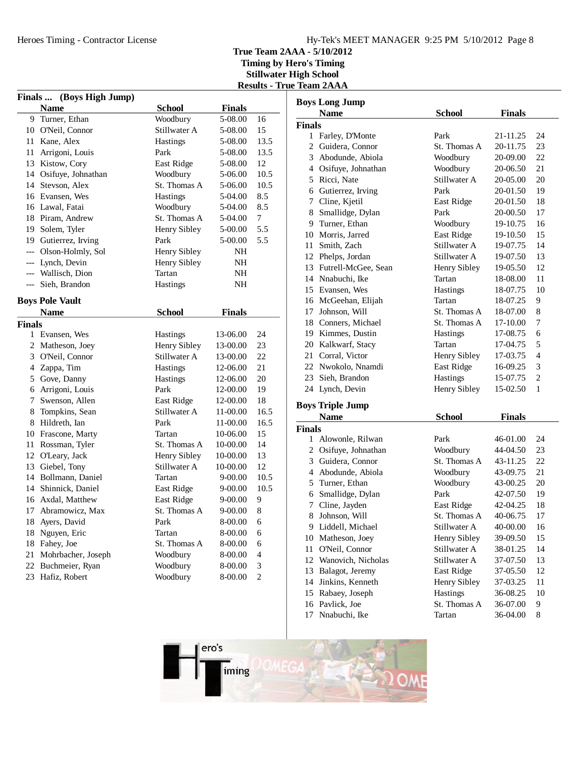# Hy-Tek's MEET MANAGER 9:25 PM 5/10/2012 Page 8

**True Team 2AAA - 5/10/2012**

**Timing by Hero's Timing Stillwater High School Results - True Team 2AAA**

| <b>Finals</b> | (Boys High Jump)       |                     |               |                |
|---------------|------------------------|---------------------|---------------|----------------|
|               | <b>Name</b>            | <b>School</b>       | <b>Finals</b> |                |
| 9             | Turner, Ethan          | Woodbury            | 5-08.00       | 16             |
|               | 10 O'Neil, Connor      | Stillwater A        | 5-08.00       | 15             |
| 11            | Kane, Alex             | <b>Hastings</b>     | 5-08.00       | 13.5           |
| 11            | Arrigoni, Louis        | Park                | 5-08.00       | 13.5           |
| 13            | Kistow, Cory           | East Ridge          | 5-08.00       | 12             |
|               | 14 Osifuye, Johnathan  | Woodbury            | 5-06.00       | 10.5           |
| 14            | Stevson, Alex          | St. Thomas A        | 5-06.00       | 10.5           |
|               | 16 Evansen, Wes        | <b>Hastings</b>     | 5-04.00       | 8.5            |
|               | 16 Lawal, Fatai        | Woodbury            | 5-04.00       | 8.5            |
|               | 18 Piram, Andrew       | St. Thomas A        | 5-04.00       | 7              |
| 19            | Solem, Tyler           | Henry Sibley        | 5-00.00       | 5.5            |
|               | 19 Gutierrez, Irving   | Park                | 5-00.00       | 5.5            |
| ---           | Olson-Holmly, Sol      | Henry Sibley        | NH            |                |
| ---           | Lynch, Devin           | Henry Sibley        | NΗ            |                |
|               | --- Wallisch, Dion     | Tartan              | NH            |                |
| ---           | Sieh, Brandon          | Hastings            | NH            |                |
|               | <b>Boys Pole Vault</b> |                     |               |                |
|               | <b>Name</b>            | <b>School</b>       | <b>Finals</b> |                |
| <b>Finals</b> |                        |                     |               |                |
|               | 1 Evansen, Wes         | Hastings            | 13-06.00      | 24             |
|               | 2 Matheson, Joey       | <b>Henry Sibley</b> | 13-00.00      | 23             |
|               | 3 O'Neil, Connor       | Stillwater A        | 13-00.00      | 22             |
| 4             | Zappa, Tim             | <b>Hastings</b>     | 12-06.00      | 21             |
| 5             | Gove, Danny            | Hastings            | 12-06.00      | 20             |
| 6             | Arrigoni, Louis        | Park                | 12-00.00      | 19             |
| 7             | Swenson, Allen         | East Ridge          | 12-00.00      | 18             |
| 8             | Tompkins, Sean         | Stillwater A        | 11-00.00      | 16.5           |
| 8             | Hildreth, Ian          | Park                | 11-00.00      | 16.5           |
|               | 10 Frascone, Marty     | Tartan              | 10-06.00      | 15             |
| 11            | Rossman, Tyler         | St. Thomas A        | 10-00.00      | 14             |
|               | 12 O'Leary, Jack       | <b>Henry Sibley</b> | 10-00.00      | 13             |
|               | 13 Giebel, Tony        | Stillwater A        | 10-00.00      | 12             |
| 14            | Bollmann, Daniel       | Tartan              | 9-00.00       | 10.5           |
| 14            | Shinnick, Daniel       | East Ridge          | 9-00.00       | 10.5           |
| 16            | Axdal, Matthew         | East Ridge          | 9-00.00       | 9              |
| 17            | Abramowicz, Max        | St. Thomas A        | 9-00.00       | 8              |
| 18            | Ayers, David           | Park                | 8-00.00       | 6              |
| 18            | Nguyen, Eric           | Tartan              | 8-00.00       | 6              |
| 18            | Fahey, Joe             | St. Thomas A        | 8-00.00       | 6              |
| 21            | Mohrbacher, Joseph     | Woodbury            | 8-00.00       | 4              |
| 22            | Buchmeier, Ryan        | Woodbury            | 8-00.00       | 3              |
| 23            | Hafiz, Robert          | Woodbury            | 8-00.00       | $\overline{c}$ |

| <b>Boys Long Jump</b> |                         |                 |               |                |
|-----------------------|-------------------------|-----------------|---------------|----------------|
|                       | <b>Name</b>             | <b>School</b>   | <b>Finals</b> |                |
| <b>Finals</b>         |                         |                 |               |                |
| $\mathbf{1}$          | Farley, D'Monte         | Park            | 21-11.25      | 24             |
| $\overline{2}$        | Guidera, Connor         | St. Thomas A    | 20-11.75      | 23             |
|                       | 3 Abodunde, Abiola      | Woodbury        | 20-09.00      | 22             |
| 4                     | Osifuye, Johnathan      | Woodbury        | 20-06.50      | 21             |
| 5                     | Ricci, Nate             | Stillwater A    | 20-05.00      | 20             |
| 6                     | Gutierrez, Irving       | Park            | 20-01.50      | 19             |
| 7                     | Cline, Kjetil           | East Ridge      | 20-01.50      | 18             |
| 8                     | Smallidge, Dylan        | Park            | 20-00.50      | 17             |
|                       | 9 Turner, Ethan         | Woodbury        | 19-10.75      | 16             |
|                       | 10 Morris, Jarred       | East Ridge      | 19-10.50      | 15             |
| 11                    | Smith, Zach             | Stillwater A    | 19-07.75      | 14             |
|                       | 12 Phelps, Jordan       | Stillwater A    | 19-07.50      | 13             |
|                       | 13 Futrell-McGee, Sean  | Henry Sibley    | 19-05.50      | 12             |
|                       | 14 Nnabuchi, Ike        | Tartan          | 18-08.00      | 11             |
|                       | 15 Evansen, Wes         | <b>Hastings</b> | 18-07.75      | 10             |
|                       | 16 McGeehan, Elijah     | Tartan          | 18-07.25      | 9              |
| 17                    | Johnson, Will           | St. Thomas A    | 18-07.00      | 8              |
|                       | 18 Conners, Michael     | St. Thomas A    | 17-10.00      | 7              |
|                       | 19 Kimmes, Dustin       | <b>Hastings</b> | 17-08.75      | 6              |
|                       | 20 Kalkwarf, Stacy      | Tartan          | 17-04.75      | 5              |
| 21                    | Corral, Victor          | Henry Sibley    | 17-03.75      | 4              |
|                       | 22 Nwokolo, Nnamdi      | East Ridge      | 16-09.25      | 3              |
| 23                    | Sieh, Brandon           | Hastings        | 15-07.75      | $\overline{2}$ |
|                       | 24 Lynch, Devin         | Henry Sibley    | 15-02.50      | $\mathbf{1}$   |
|                       | <b>Boys Triple Jump</b> |                 |               |                |

# **Boys Triple**

|               | Name               | School          | <b>Finals</b> |    |
|---------------|--------------------|-----------------|---------------|----|
| <b>Finals</b> |                    |                 |               |    |
| 1             | Alowonle, Rilwan   | Park            | 46-01.00      | 24 |
| 2             | Osifuye, Johnathan | Woodbury        | 44-04.50      | 23 |
| 3             | Guidera, Connor    | St. Thomas A    | 43-11.25      | 22 |
| 4             | Abodunde, Abiola   | Woodbury        | 43-09.75      | 21 |
| 5             | Turner, Ethan      | Woodbury        | 43-00.25      | 20 |
| 6             | Smallidge, Dylan   | Park            | 42-07.50      | 19 |
| 7             | Cline, Jayden      | East Ridge      | 42-04.25      | 18 |
| 8             | Johnson, Will      | St. Thomas A    | 40-06.75      | 17 |
| 9             | Liddell, Michael   | Stillwater A    | 40-00.00      | 16 |
| 10            | Matheson, Joey     | Henry Sibley    | 39-09.50      | 15 |
| 11            | O'Neil, Connor     | Stillwater A    | 38-01.25      | 14 |
| 12            | Wanovich, Nicholas | Stillwater A    | 37-07.50      | 13 |
| 13            | Balagot, Jeremy    | East Ridge      | 37-05.50      | 12 |
| 14            | Jinkins, Kenneth   | Henry Sibley    | 37-03.25      | 11 |
| 15            | Rabaey, Joseph     | <b>Hastings</b> | 36-08.25      | 10 |
| 16            | Pavlick, Joe       | St. Thomas A    | 36-07.00      | 9  |
| 17            | Nnabuchi, Ike      | Tartan          | 36-04.00      | 8  |